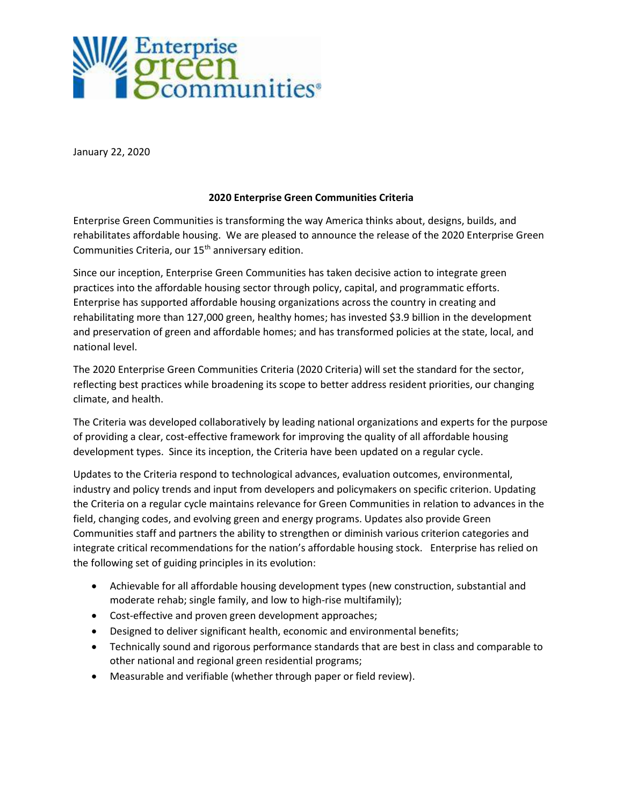

January 22, 2020

## 2020 Enterprise Green Communities Criteria

Enterprise Green Communities is transforming the way America thinks about, designs, builds, and rehabilitates affordable housing. We are pleased to announce the release of the 2020 Enterprise Green Communities Criteria, our 15<sup>th</sup> anniversary edition.

Since our inception, Enterprise Green Communities has taken decisive action to integrate green practices into the affordable housing sector through policy, capital, and programmatic efforts. Enterprise has supported affordable housing organizations across the country in creating and rehabilitating more than 127,000 green, healthy homes; has invested \$3.9 billion in the development and preservation of green and affordable homes; and has transformed policies at the state, local, and national level.

The 2020 Enterprise Green Communities Criteria (2020 Criteria) will set the standard for the sector, reflecting best practices while broadening its scope to better address resident priorities, our changing climate, and health.

The Criteria was developed collaboratively by leading national organizations and experts for the purpose of providing a clear, cost-effective framework for improving the quality of all affordable housing development types. Since its inception, the Criteria have been updated on a regular cycle.

Updates to the Criteria respond to technological advances, evaluation outcomes, environmental, industry and policy trends and input from developers and policymakers on specific criterion. Updating the Criteria on a regular cycle maintains relevance for Green Communities in relation to advances in the field, changing codes, and evolving green and energy programs. Updates also provide Green Communities staff and partners the ability to strengthen or diminish various criterion categories and integrate critical recommendations for the nation's affordable housing stock. Enterprise has relied on the following set of guiding principles in its evolution:

- Achievable for all affordable housing development types (new construction, substantial and moderate rehab; single family, and low to high-rise multifamily);
- Cost-effective and proven green development approaches;
- Designed to deliver significant health, economic and environmental benefits;
- Technically sound and rigorous performance standards that are best in class and comparable to other national and regional green residential programs;
- Measurable and verifiable (whether through paper or field review).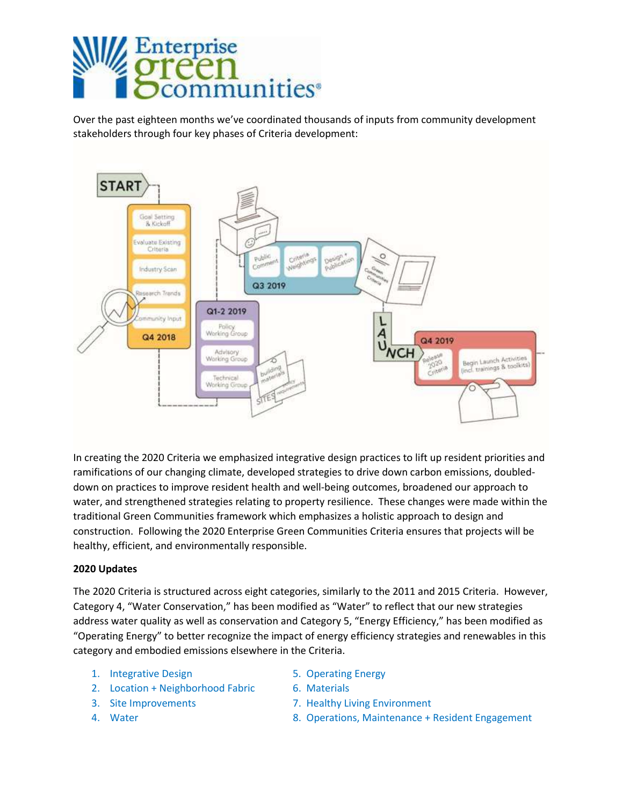

Over the past eighteen months we've coordinated thousands of inputs from community development stakeholders through four key phases of Criteria development:



In creating the 2020 Criteria we emphasized integrative design practices to lift up resident priorities and ramifications of our changing climate, developed strategies to drive down carbon emissions, doubleddown on practices to improve resident health and well-being outcomes, broadened our approach to water, and strengthened strategies relating to property resilience. These changes were made within the traditional Green Communities framework which emphasizes a holistic approach to design and construction. Following the 2020 Enterprise Green Communities Criteria ensures that projects will be healthy, efficient, and environmentally responsible.

## 2020 Updates

The 2020 Criteria is structured across eight categories, similarly to the 2011 and 2015 Criteria. However, Category 4, "Water Conservation," has been modified as "Water" to reflect that our new strategies address water quality as well as conservation and Category 5, "Energy Efficiency," has been modified as "Operating Energy" to better recognize the impact of energy efficiency strategies and renewables in this category and embodied emissions elsewhere in the Criteria.

- 1. Integrative Design 1. The Solution of the Solution of the Solution of the Solution of the Solution of the Solution of the Solution of the Solution of the Solution of the Solution of the Solution of the Solution of the S
- 2. Location + Neighborhood Fabric 6. Materials
- 
- 
- 
- 
- 3. Site Improvements 7. Healthy Living Environment
- 4. Water 8. Operations, Maintenance + Resident Engagement